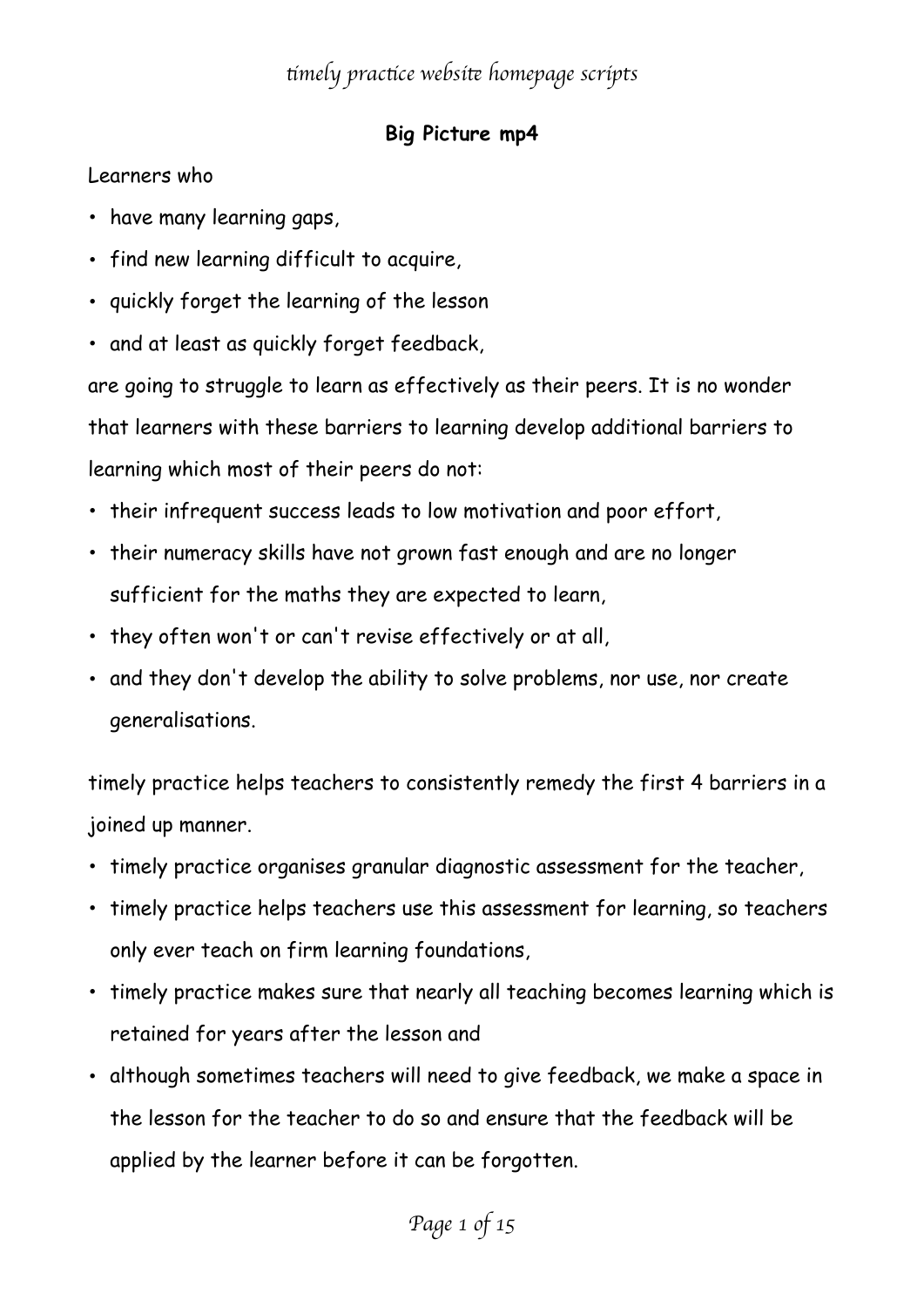#### **Big Picture mp4**

Learners who

- have many learning gaps,
- find new learning difficult to acquire,
- quickly forget the learning of the lesson
- and at least as quickly forget feedback,

are going to struggle to learn as effectively as their peers. It is no wonder that learners with these barriers to learning develop additional barriers to learning which most of their peers do not:

- their infrequent success leads to low motivation and poor effort,
- their numeracy skills have not grown fast enough and are no longer sufficient for the maths they are expected to learn,
- they often won't or can't revise effectively or at all,
- and they don't develop the ability to solve problems, nor use, nor create generalisations.

timely practice helps teachers to consistently remedy the first 4 barriers in a joined up manner.

- timely practice organises granular diagnostic assessment for the teacher,
- timely practice helps teachers use this assessment for learning, so teachers only ever teach on firm learning foundations,
- timely practice makes sure that nearly all teaching becomes learning which is retained for years after the lesson and
- although sometimes teachers will need to give feedback, we make a space in the lesson for the teacher to do so and ensure that the feedback will be applied by the learner before it can be forgotten.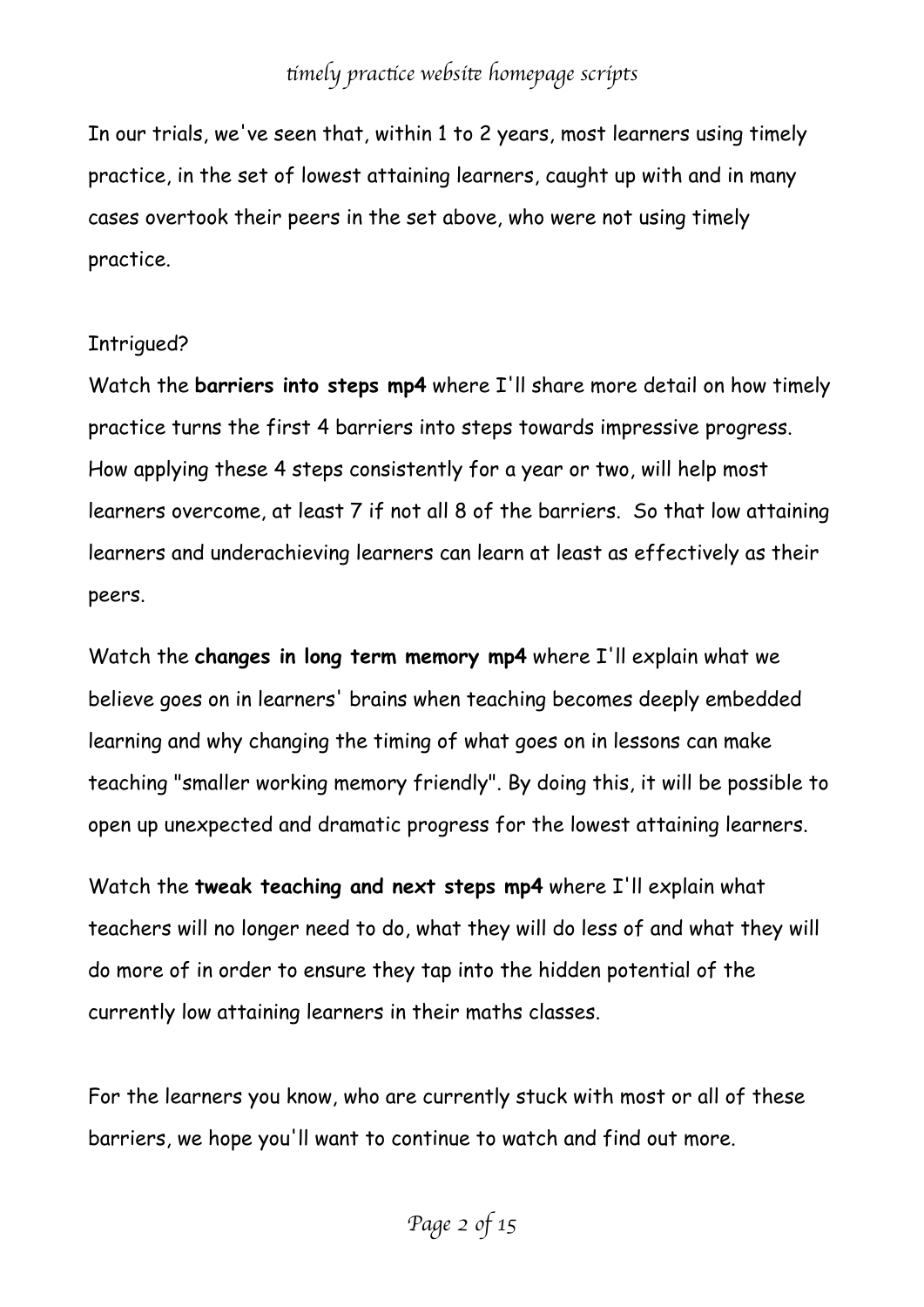In our trials, we've seen that, within 1 to 2 years, most learners using timely practice, in the set of lowest attaining learners, caught up with and in many cases overtook their peers in the set above, who were not using timely practice.

#### Intrigued?

Watch the **barriers into steps mp4** where I'll share more detail on how timely practice turns the first 4 barriers into steps towards impressive progress. How applying these 4 steps consistently for a year or two, will help most learners overcome, at least 7 if not all 8 of the barriers. So that low attaining learners and underachieving learners can learn at least as effectively as their peers.

Watch the **changes in long term memory mp4** where I'll explain what we believe goes on in learners' brains when teaching becomes deeply embedded learning and why changing the timing of what goes on in lessons can make teaching "smaller working memory friendly". By doing this, it will be possible to open up unexpected and dramatic progress for the lowest attaining learners.

Watch the **tweak teaching and next steps mp4** where I'll explain what teachers will no longer need to do, what they will do less of and what they will do more of in order to ensure they tap into the hidden potential of the currently low attaining learners in their maths classes.

For the learners you know, who are currently stuck with most or all of these barriers, we hope you'll want to continue to watch and find out more.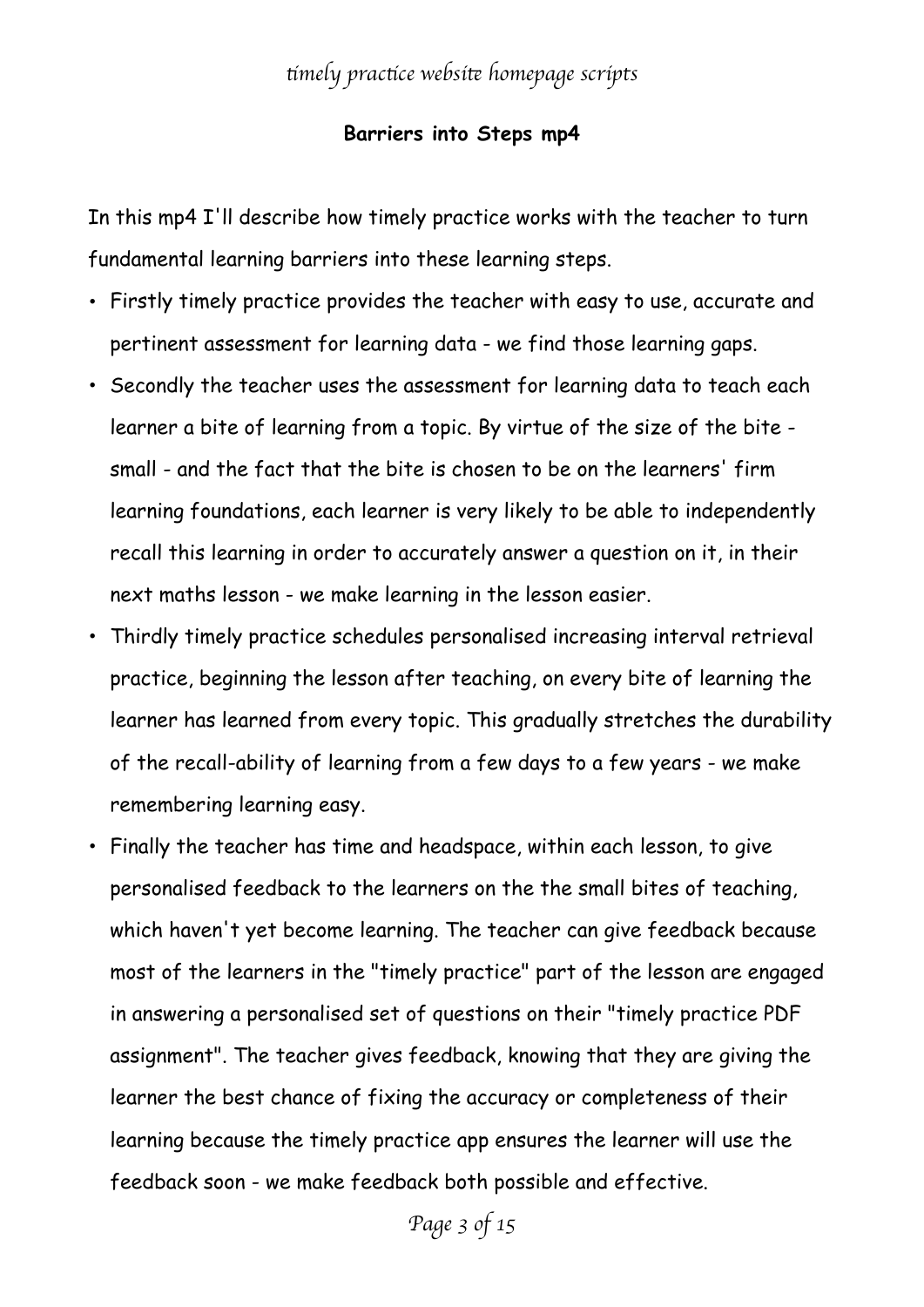#### **Barriers into Steps mp4**

In this mp4 I'll describe how timely practice works with the teacher to turn fundamental learning barriers into these learning steps.

- Firstly timely practice provides the teacher with easy to use, accurate and pertinent assessment for learning data - we find those learning gaps.
- Secondly the teacher uses the assessment for learning data to teach each learner a bite of learning from a topic. By virtue of the size of the bite small - and the fact that the bite is chosen to be on the learners' firm learning foundations, each learner is very likely to be able to independently recall this learning in order to accurately answer a question on it, in their next maths lesson - we make learning in the lesson easier.
- Thirdly timely practice schedules personalised increasing interval retrieval practice, beginning the lesson after teaching, on every bite of learning the learner has learned from every topic. This gradually stretches the durability of the recall-ability of learning from a few days to a few years - we make remembering learning easy.
- Finally the teacher has time and headspace, within each lesson, to give personalised feedback to the learners on the the small bites of teaching, which haven't yet become learning. The teacher can give feedback because most of the learners in the "timely practice" part of the lesson are engaged in answering a personalised set of questions on their "timely practice PDF assignment". The teacher gives feedback, knowing that they are giving the learner the best chance of fixing the accuracy or completeness of their learning because the timely practice app ensures the learner will use the feedback soon - we make feedback both possible and effective.

*Page 3 of 15*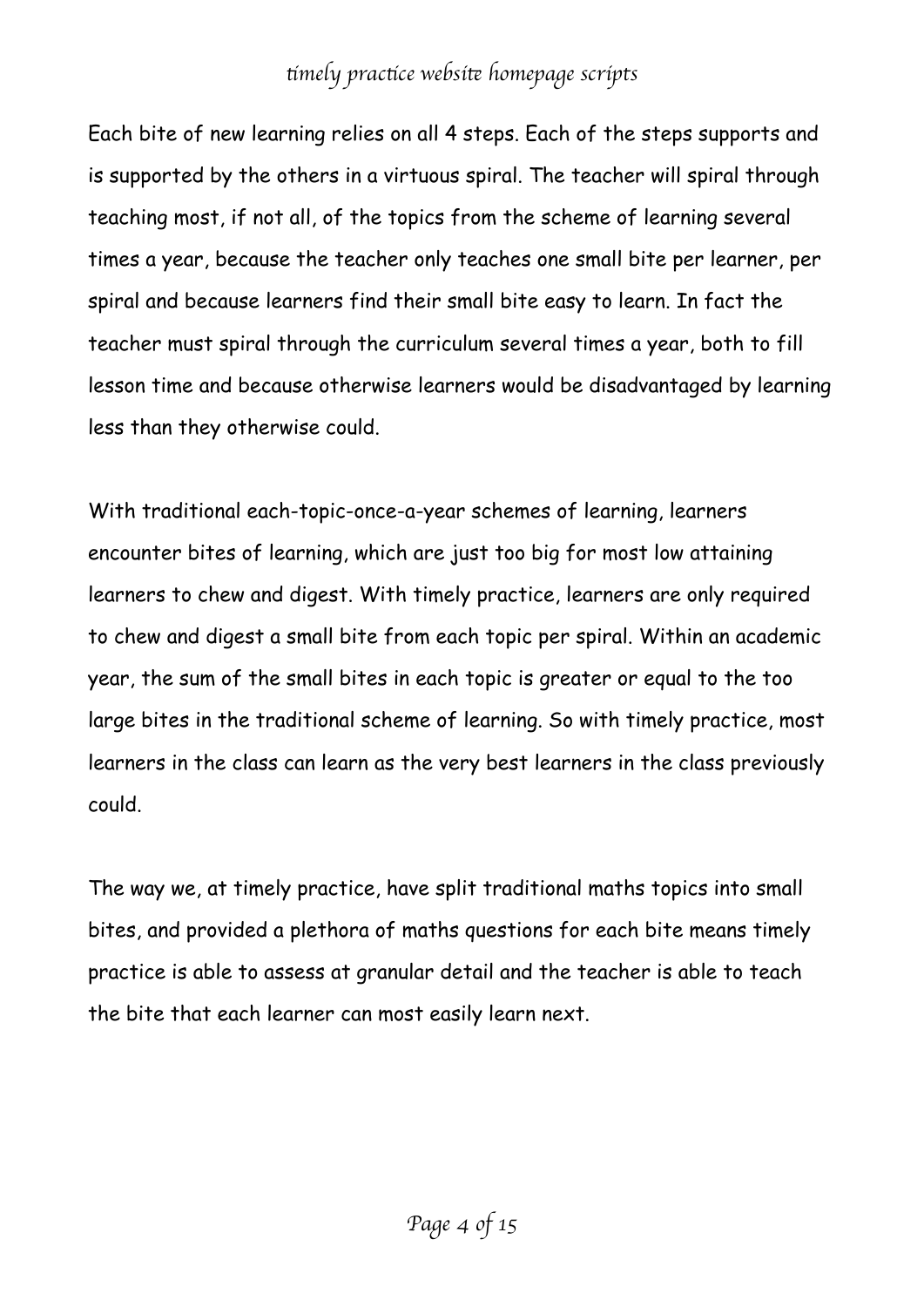Each bite of new learning relies on all 4 steps. Each of the steps supports and is supported by the others in a virtuous spiral. The teacher will spiral through teaching most, if not all, of the topics from the scheme of learning several times a year, because the teacher only teaches one small bite per learner, per spiral and because learners find their small bite easy to learn. In fact the teacher must spiral through the curriculum several times a year, both to fill lesson time and because otherwise learners would be disadvantaged by learning less than they otherwise could.

With traditional each-topic-once-a-year schemes of learning, learners encounter bites of learning, which are just too big for most low attaining learners to chew and digest. With timely practice, learners are only required to chew and digest a small bite from each topic per spiral. Within an academic year, the sum of the small bites in each topic is greater or equal to the too large bites in the traditional scheme of learning. So with timely practice, most learners in the class can learn as the very best learners in the class previously could.

The way we, at timely practice, have split traditional maths topics into small bites, and provided a plethora of maths questions for each bite means timely practice is able to assess at granular detail and the teacher is able to teach the bite that each learner can most easily learn next.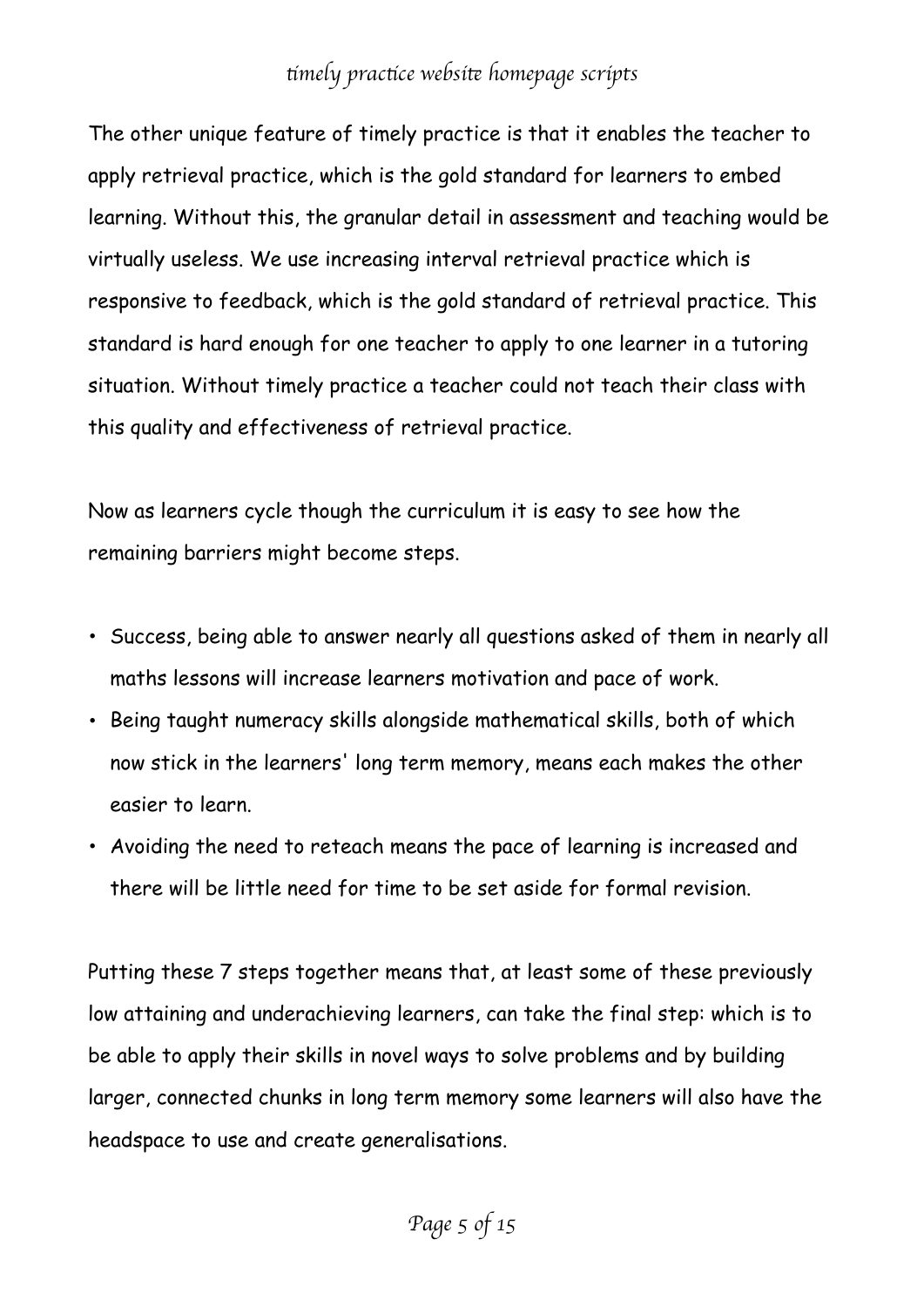The other unique feature of timely practice is that it enables the teacher to apply retrieval practice, which is the gold standard for learners to embed learning. Without this, the granular detail in assessment and teaching would be virtually useless. We use increasing interval retrieval practice which is responsive to feedback, which is the gold standard of retrieval practice. This standard is hard enough for one teacher to apply to one learner in a tutoring situation. Without timely practice a teacher could not teach their class with this quality and effectiveness of retrieval practice.

Now as learners cycle though the curriculum it is easy to see how the remaining barriers might become steps.

- Success, being able to answer nearly all questions asked of them in nearly all maths lessons will increase learners motivation and pace of work.
- Being taught numeracy skills alongside mathematical skills, both of which now stick in the learners' long term memory, means each makes the other easier to learn.
- Avoiding the need to reteach means the pace of learning is increased and there will be little need for time to be set aside for formal revision.

Putting these 7 steps together means that, at least some of these previously low attaining and underachieving learners, can take the final step: which is to be able to apply their skills in novel ways to solve problems and by building larger, connected chunks in long term memory some learners will also have the headspace to use and create generalisations.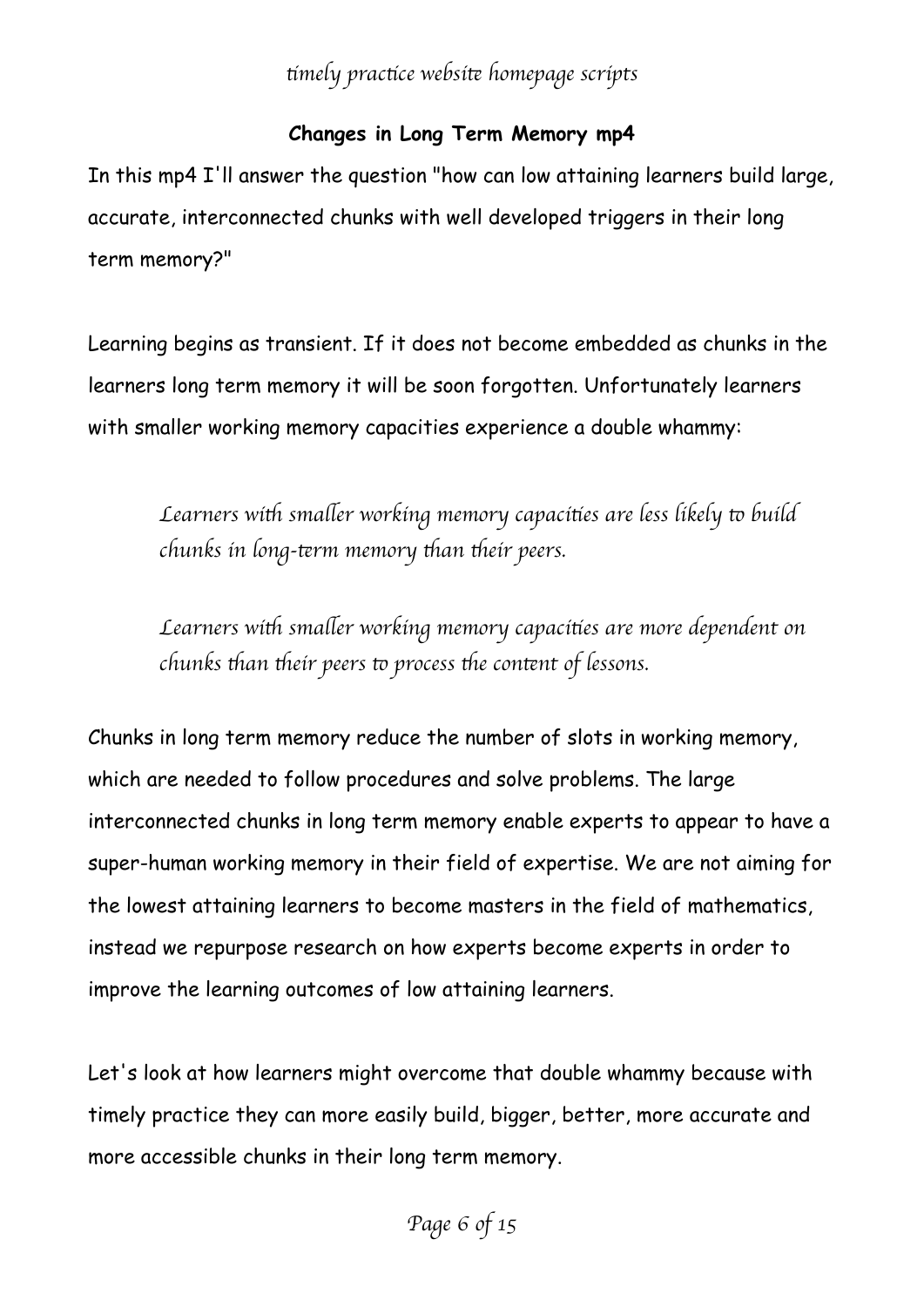### **Changes in Long Term Memory mp4**

In this mp4 I'll answer the question "how can low attaining learners build large, accurate, interconnected chunks with well developed triggers in their long term memory?"

Learning begins as transient. If it does not become embedded as chunks in the learners long term memory it will be soon forgotten. Unfortunately learners with smaller working memory capacities experience a double whammy:

*Learners with smaller working memory capacities are less likely to build chunks in long-*t*rm memory* t*an* t*eir peers.*

*Learners with smaller working memory capacities are more dependent on chunks* t*an* t*eir peers* t *process* t*e con*t*nt of lessons.*

Chunks in long term memory reduce the number of slots in working memory, which are needed to follow procedures and solve problems. The large interconnected chunks in long term memory enable experts to appear to have a super-human working memory in their field of expertise. We are not aiming for the lowest attaining learners to become masters in the field of mathematics, instead we repurpose research on how experts become experts in order to improve the learning outcomes of low attaining learners.

Let's look at how learners might overcome that double whammy because with timely practice they can more easily build, bigger, better, more accurate and more accessible chunks in their long term memory.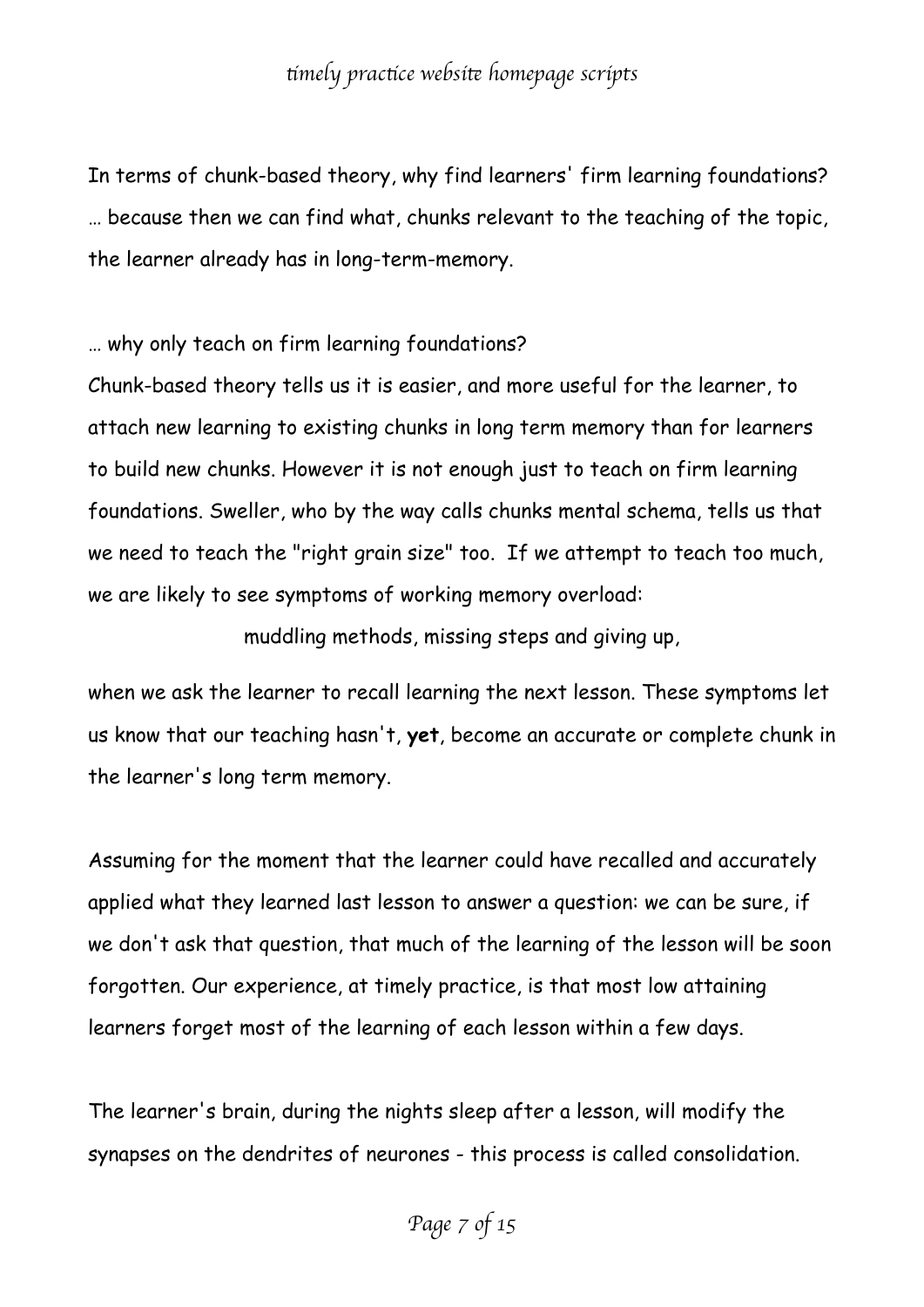In terms of chunk-based theory, why find learners' firm learning foundations? … because then we can find what, chunks relevant to the teaching of the topic, the learner already has in long-term-memory.

… why only teach on firm learning foundations?

Chunk-based theory tells us it is easier, and more useful for the learner, to attach new learning to existing chunks in long term memory than for learners to build new chunks. However it is not enough just to teach on firm learning foundations. Sweller, who by the way calls chunks mental schema, tells us that we need to teach the "right grain size" too. If we attempt to teach too much, we are likely to see symptoms of working memory overload:

muddling methods, missing steps and giving up,

when we ask the learner to recall learning the next lesson. These symptoms let us know that our teaching hasn't, **yet**, become an accurate or complete chunk in the learner's long term memory.

Assuming for the moment that the learner could have recalled and accurately applied what they learned last lesson to answer a question: we can be sure, if we don't ask that question, that much of the learning of the lesson will be soon forgotten. Our experience, at timely practice, is that most low attaining learners forget most of the learning of each lesson within a few days.

The learner's brain, during the nights sleep after a lesson, will modify the synapses on the dendrites of neurones - this process is called consolidation.

*Page 7 of 15*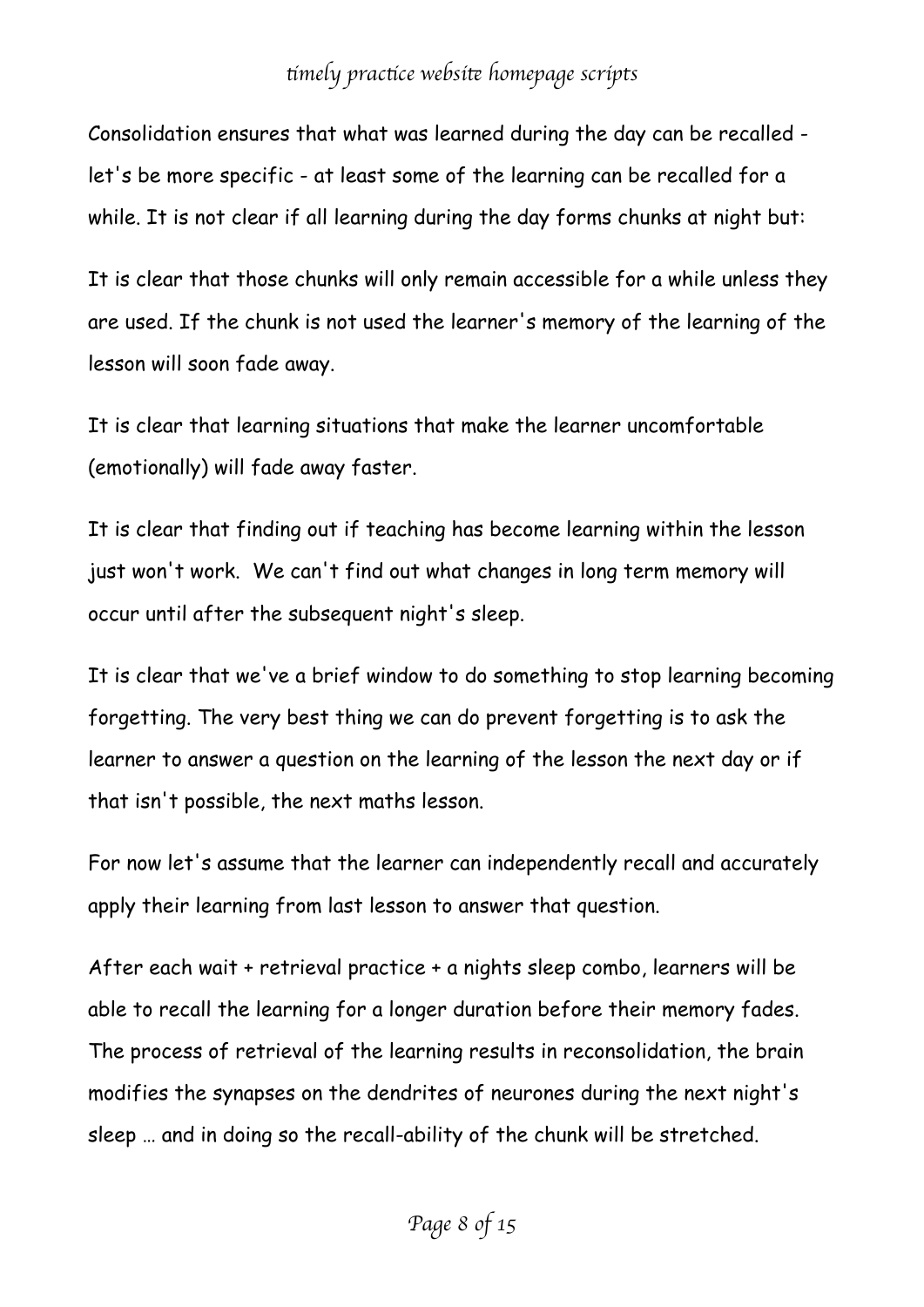Consolidation ensures that what was learned during the day can be recalled let's be more specific - at least some of the learning can be recalled for a while. It is not clear if all learning during the day forms chunks at night but:

It is clear that those chunks will only remain accessible for a while unless they are used. If the chunk is not used the learner's memory of the learning of the lesson will soon fade away.

It is clear that learning situations that make the learner uncomfortable (emotionally) will fade away faster.

It is clear that finding out if teaching has become learning within the lesson just won't work. We can't find out what changes in long term memory will occur until after the subsequent night's sleep.

It is clear that we've a brief window to do something to stop learning becoming forgetting. The very best thing we can do prevent forgetting is to ask the learner to answer a question on the learning of the lesson the next day or if that isn't possible, the next maths lesson.

For now let's assume that the learner can independently recall and accurately apply their learning from last lesson to answer that question.

After each wait + retrieval practice + a nights sleep combo, learners will be able to recall the learning for a longer duration before their memory fades. The process of retrieval of the learning results in reconsolidation, the brain modifies the synapses on the dendrites of neurones during the next night's sleep … and in doing so the recall-ability of the chunk will be stretched.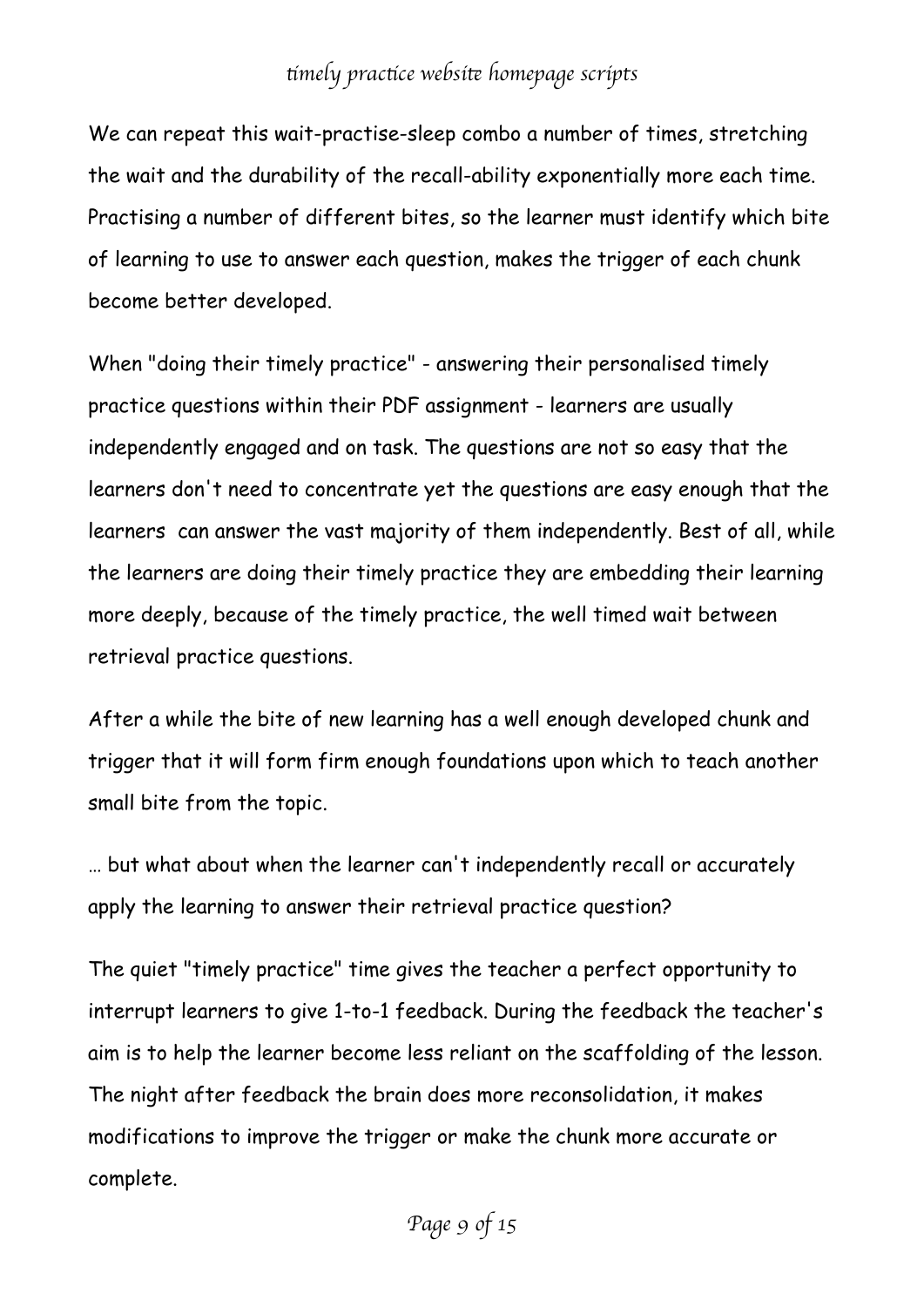We can repeat this wait-practise-sleep combo a number of times, stretching the wait and the durability of the recall-ability exponentially more each time. Practising a number of different bites, so the learner must identify which bite of learning to use to answer each question, makes the trigger of each chunk become better developed.

When "doing their timely practice" - answering their personalised timely practice questions within their PDF assignment - learners are usually independently engaged and on task. The questions are not so easy that the learners don't need to concentrate yet the questions are easy enough that the learners can answer the vast majority of them independently. Best of all, while the learners are doing their timely practice they are embedding their learning more deeply, because of the timely practice, the well timed wait between retrieval practice questions.

After a while the bite of new learning has a well enough developed chunk and trigger that it will form firm enough foundations upon which to teach another small bite from the topic.

… but what about when the learner can't independently recall or accurately apply the learning to answer their retrieval practice question?

The quiet "timely practice" time gives the teacher a perfect opportunity to interrupt learners to give 1-to-1 feedback. During the feedback the teacher's aim is to help the learner become less reliant on the scaffolding of the lesson. The night after feedback the brain does more reconsolidation, it makes modifications to improve the trigger or make the chunk more accurate or complete.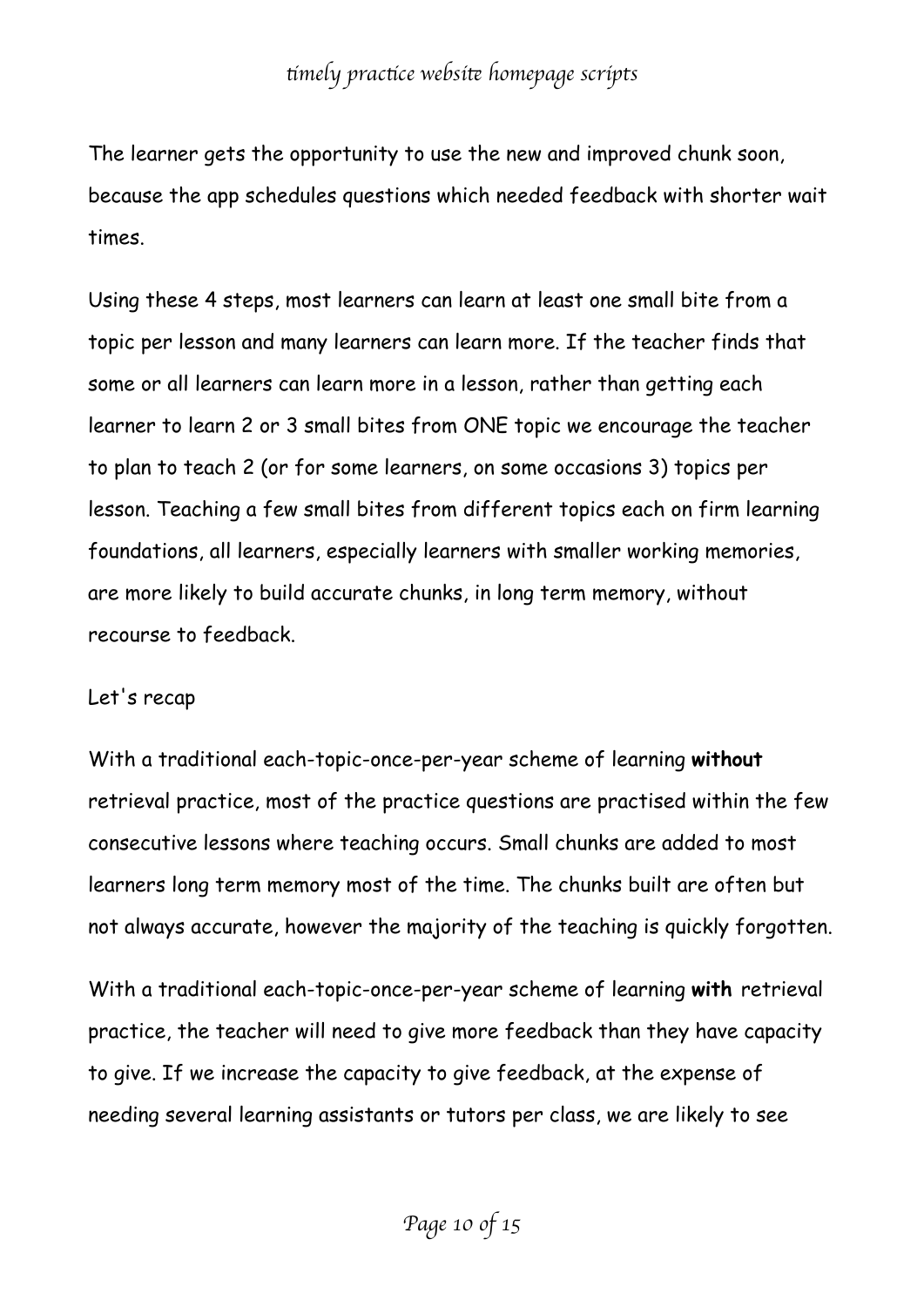The learner gets the opportunity to use the new and improved chunk soon, because the app schedules questions which needed feedback with shorter wait times.

Using these 4 steps, most learners can learn at least one small bite from a topic per lesson and many learners can learn more. If the teacher finds that some or all learners can learn more in a lesson, rather than getting each learner to learn 2 or 3 small bites from ONE topic we encourage the teacher to plan to teach 2 (or for some learners, on some occasions 3) topics per lesson. Teaching a few small bites from different topics each on firm learning foundations, all learners, especially learners with smaller working memories, are more likely to build accurate chunks, in long term memory, without recourse to feedback.

#### Let's recap

With a traditional each-topic-once-per-year scheme of learning **without** retrieval practice, most of the practice questions are practised within the few consecutive lessons where teaching occurs. Small chunks are added to most learners long term memory most of the time. The chunks built are often but not always accurate, however the majority of the teaching is quickly forgotten.

With a traditional each-topic-once-per-year scheme of learning **with** retrieval practice, the teacher will need to give more feedback than they have capacity to give. If we increase the capacity to give feedback, at the expense of needing several learning assistants or tutors per class, we are likely to see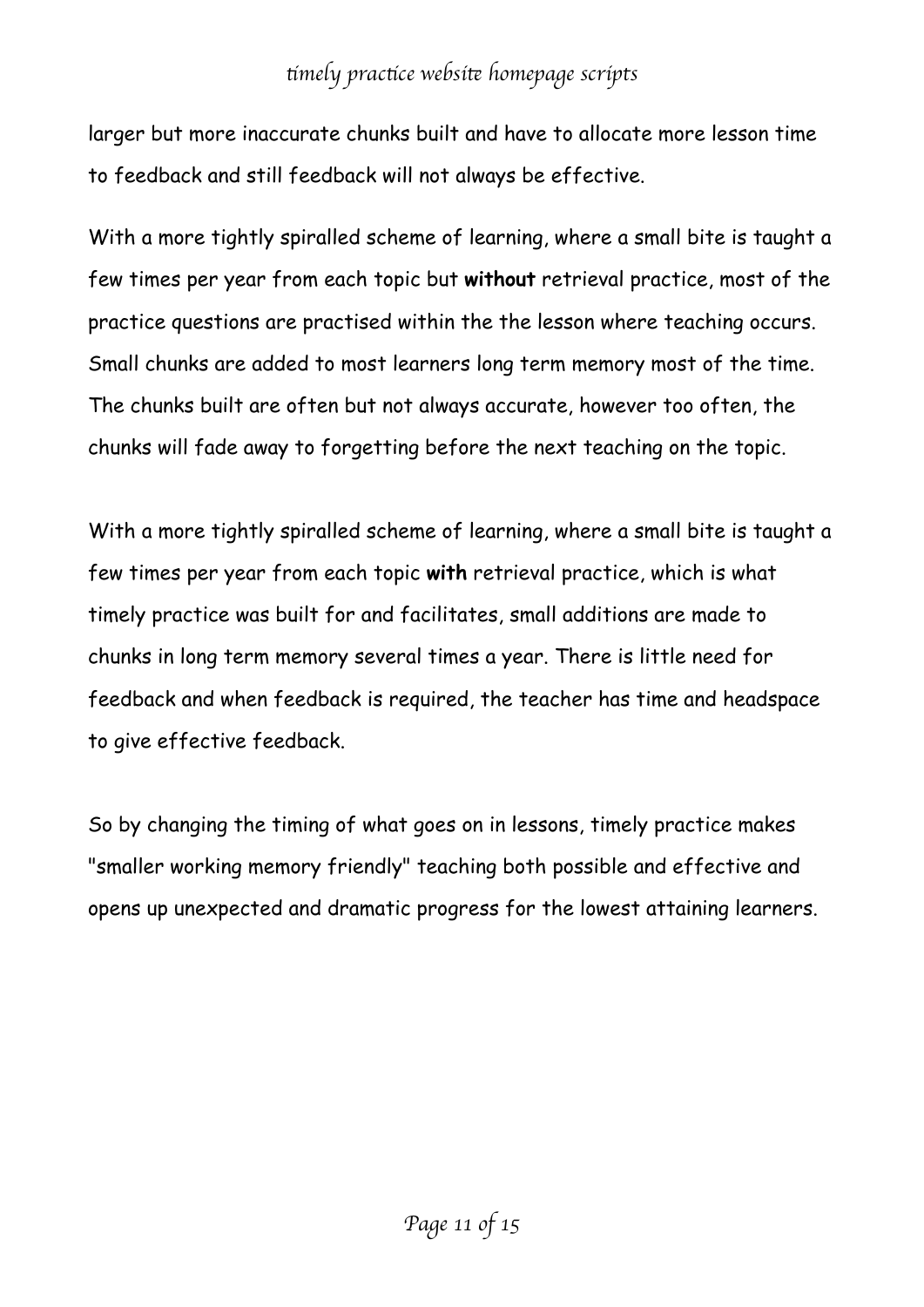larger but more inaccurate chunks built and have to allocate more lesson time to feedback and still feedback will not always be effective.

With a more tightly spiralled scheme of learning, where a small bite is taught a few times per year from each topic but **without** retrieval practice, most of the practice questions are practised within the the lesson where teaching occurs. Small chunks are added to most learners long term memory most of the time. The chunks built are often but not always accurate, however too often, the chunks will fade away to forgetting before the next teaching on the topic.

With a more tightly spiralled scheme of learning, where a small bite is taught a few times per year from each topic **with** retrieval practice, which is what timely practice was built for and facilitates, small additions are made to chunks in long term memory several times a year. There is little need for feedback and when feedback is required, the teacher has time and headspace to give effective feedback.

So by changing the timing of what goes on in lessons, timely practice makes "smaller working memory friendly" teaching both possible and effective and opens up unexpected and dramatic progress for the lowest attaining learners.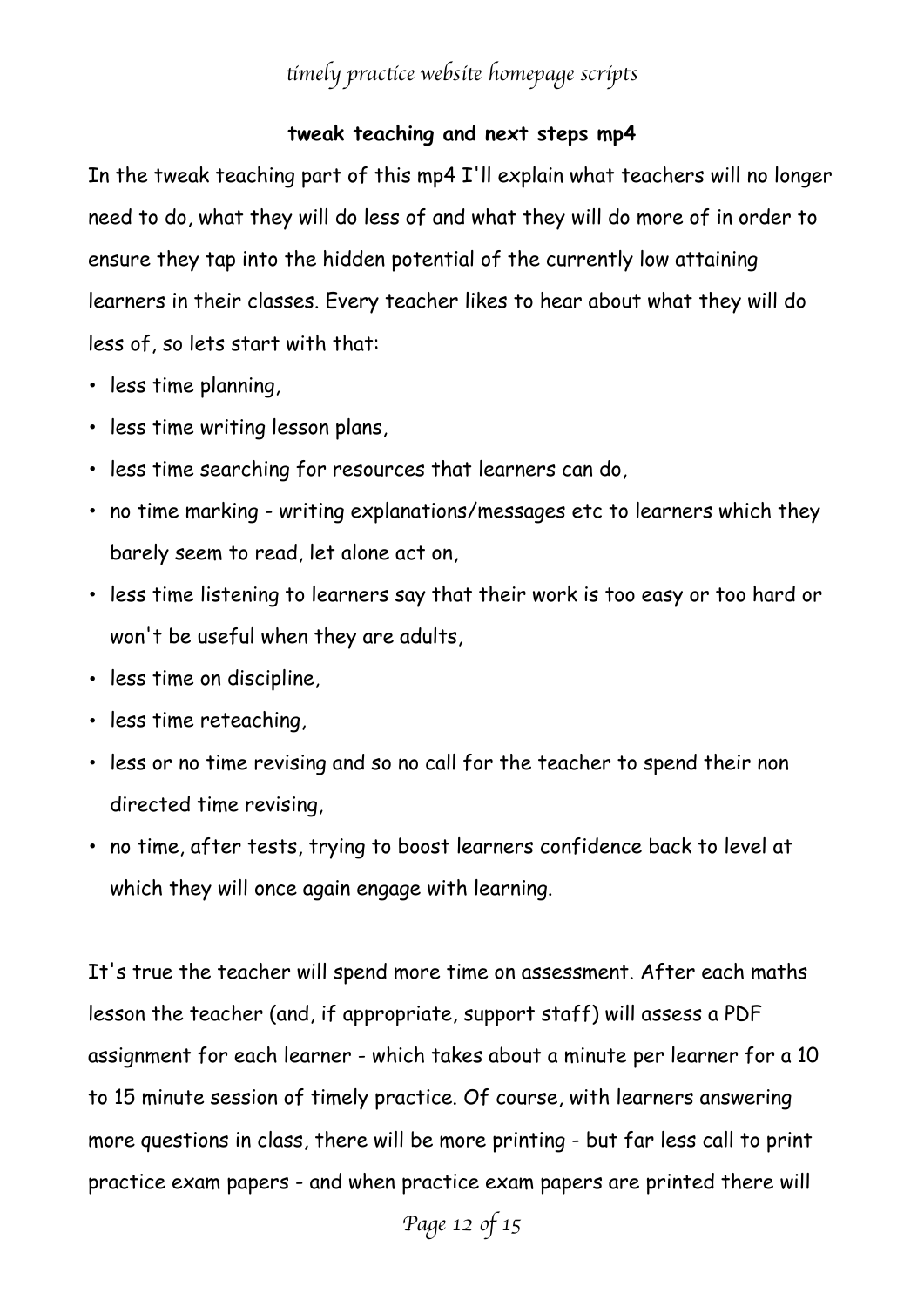#### **tweak teaching and next steps mp4**

In the tweak teaching part of this mp4 I'll explain what teachers will no longer need to do, what they will do less of and what they will do more of in order to ensure they tap into the hidden potential of the currently low attaining learners in their classes. Every teacher likes to hear about what they will do less of, so lets start with that:

- less time planning,
- less time writing lesson plans,
- less time searching for resources that learners can do,
- no time marking writing explanations/messages etc to learners which they barely seem to read, let alone act on,
- less time listening to learners say that their work is too easy or too hard or won't be useful when they are adults,
- less time on discipline,
- less time reteaching,
- less or no time revising and so no call for the teacher to spend their non directed time revising,
- no time, after tests, trying to boost learners confidence back to level at which they will once again engage with learning.

It's true the teacher will spend more time on assessment. After each maths lesson the teacher (and, if appropriate, support staff) will assess a PDF assignment for each learner - which takes about a minute per learner for a 10 to 15 minute session of timely practice. Of course, with learners answering more questions in class, there will be more printing - but far less call to print practice exam papers - and when practice exam papers are printed there will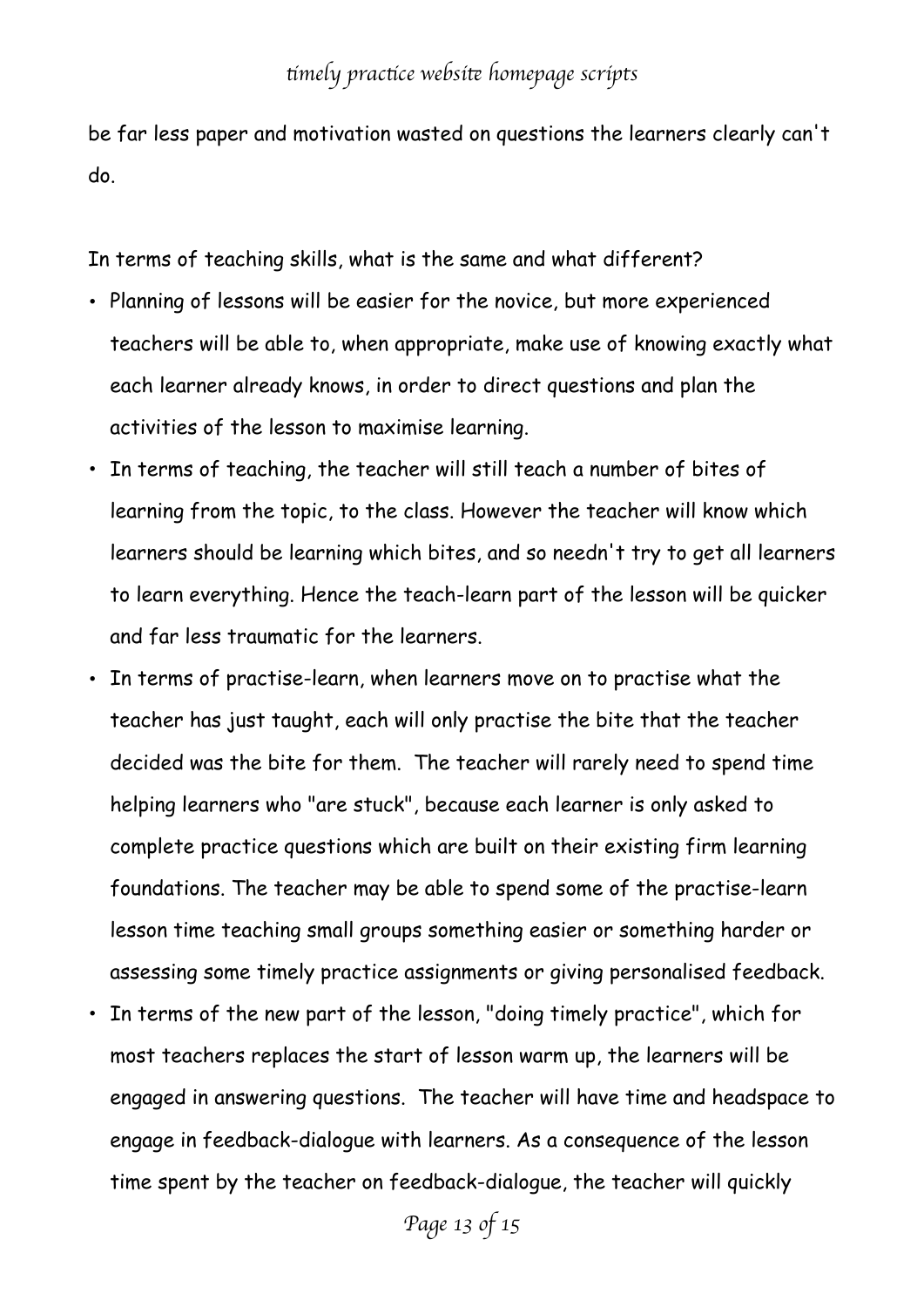be far less paper and motivation wasted on questions the learners clearly can't do.

In terms of teaching skills, what is the same and what different?

- Planning of lessons will be easier for the novice, but more experienced teachers will be able to, when appropriate, make use of knowing exactly what each learner already knows, in order to direct questions and plan the activities of the lesson to maximise learning.
- In terms of teaching, the teacher will still teach a number of bites of learning from the topic, to the class. However the teacher will know which learners should be learning which bites, and so needn't try to get all learners to learn everything. Hence the teach-learn part of the lesson will be quicker and far less traumatic for the learners.
- In terms of practise-learn, when learners move on to practise what the teacher has just taught, each will only practise the bite that the teacher decided was the bite for them. The teacher will rarely need to spend time helping learners who "are stuck", because each learner is only asked to complete practice questions which are built on their existing firm learning foundations. The teacher may be able to spend some of the practise-learn lesson time teaching small groups something easier or something harder or assessing some timely practice assignments or giving personalised feedback.
- In terms of the new part of the lesson, "doing timely practice", which for most teachers replaces the start of lesson warm up, the learners will be engaged in answering questions. The teacher will have time and headspace to engage in feedback-dialogue with learners. As a consequence of the lesson time spent by the teacher on feedback-dialogue, the teacher will quickly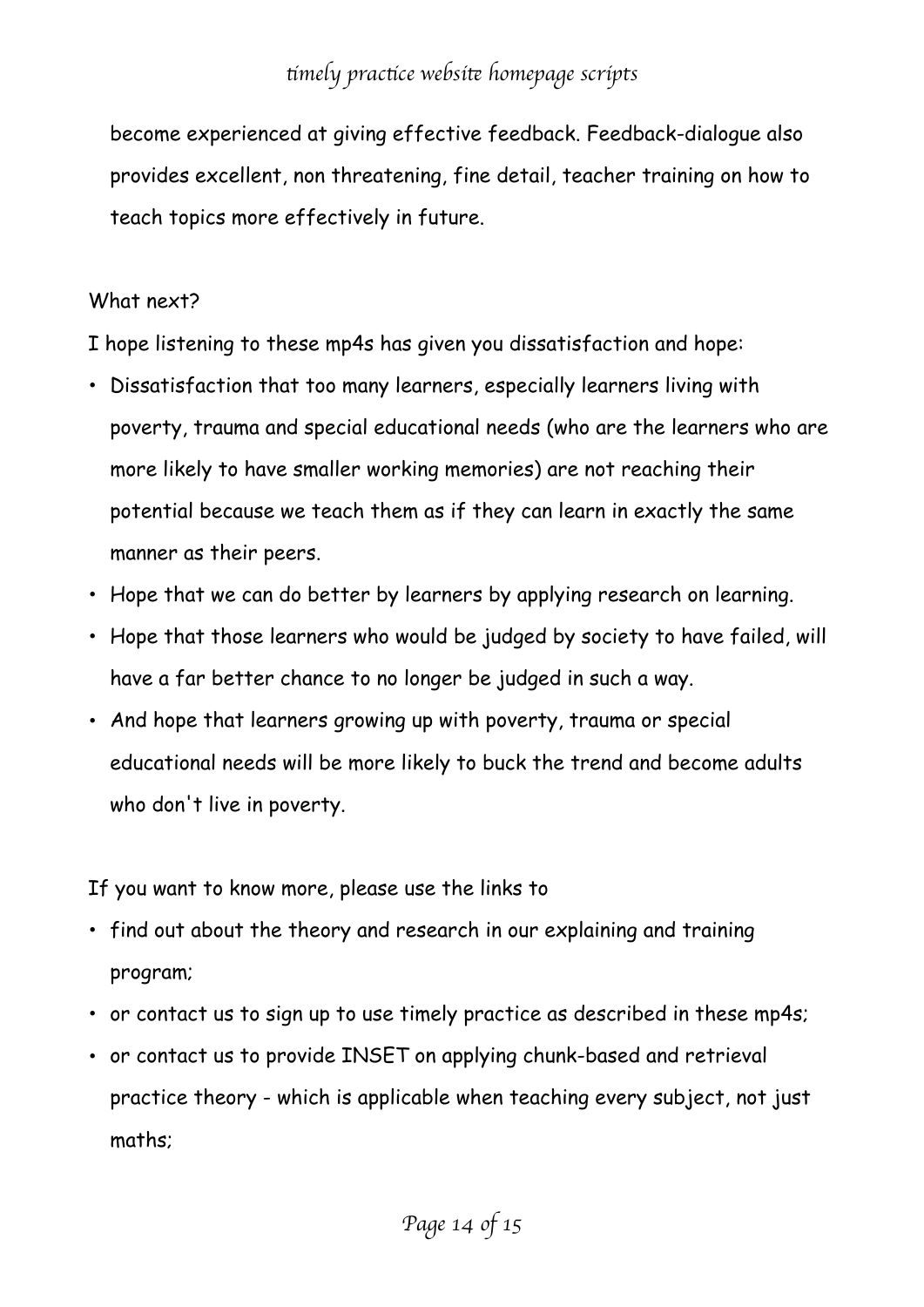become experienced at giving effective feedback. Feedback-dialogue also provides excellent, non threatening, fine detail, teacher training on how to teach topics more effectively in future.

#### What next?

I hope listening to these mp4s has given you dissatisfaction and hope:

- Dissatisfaction that too many learners, especially learners living with poverty, trauma and special educational needs (who are the learners who are more likely to have smaller working memories) are not reaching their potential because we teach them as if they can learn in exactly the same manner as their peers.
- Hope that we can do better by learners by applying research on learning.
- Hope that those learners who would be judged by society to have failed, will have a far better chance to no longer be judged in such a way.
- And hope that learners growing up with poverty, trauma or special educational needs will be more likely to buck the trend and become adults who don't live in poverty.

If you want to know more, please use the links to

- find out about the theory and research in our explaining and training program;
- or contact us to sign up to use timely practice as described in these mp4s;
- or contact us to provide INSET on applying chunk-based and retrieval practice theory - which is applicable when teaching every subject, not just maths;